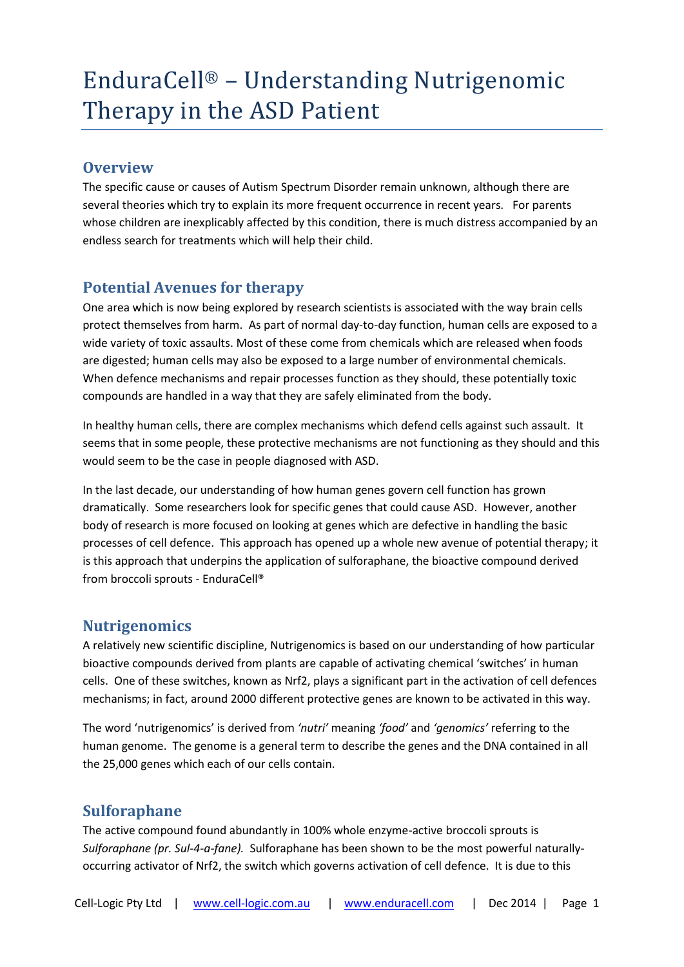# EnduraCell® – Understanding Nutrigenomic Therapy in the ASD Patient

## **Overview**

The specific cause or causes of Autism Spectrum Disorder remain unknown, although there are several theories which try to explain its more frequent occurrence in recent years. For parents whose children are inexplicably affected by this condition, there is much distress accompanied by an endless search for treatments which will help their child.

# **Potential Avenues for therapy**

One area which is now being explored by research scientists is associated with the way brain cells protect themselves from harm. As part of normal day-to-day function, human cells are exposed to a wide variety of toxic assaults. Most of these come from chemicals which are released when foods are digested; human cells may also be exposed to a large number of environmental chemicals. When defence mechanisms and repair processes function as they should, these potentially toxic compounds are handled in a way that they are safely eliminated from the body.

In healthy human cells, there are complex mechanisms which defend cells against such assault. It seems that in some people, these protective mechanisms are not functioning as they should and this would seem to be the case in people diagnosed with ASD.

In the last decade, our understanding of how human genes govern cell function has grown dramatically. Some researchers look for specific genes that could cause ASD. However, another body of research is more focused on looking at genes which are defective in handling the basic processes of cell defence. This approach has opened up a whole new avenue of potential therapy; it is this approach that underpins the application of sulforaphane, the bioactive compound derived from broccoli sprouts - EnduraCell®

# **Nutrigenomics**

A relatively new scientific discipline, Nutrigenomics is based on our understanding of how particular bioactive compounds derived from plants are capable of activating chemical 'switches' in human cells. One of these switches, known as Nrf2, plays a significant part in the activation of cell defences mechanisms; in fact, around 2000 different protective genes are known to be activated in this way.

The word 'nutrigenomics' is derived from *'nutri'* meaning *'food'* and *'genomics'* referring to the human genome. The genome is a general term to describe the genes and the DNA contained in all the 25,000 genes which each of our cells contain.

# **Sulforaphane**

The active compound found abundantly in 100% whole enzyme-active broccoli sprouts is *Sulforaphane (pr. Sul-4-a-fane).* Sulforaphane has been shown to be the most powerful naturallyoccurring activator of Nrf2, the switch which governs activation of cell defence. It is due to this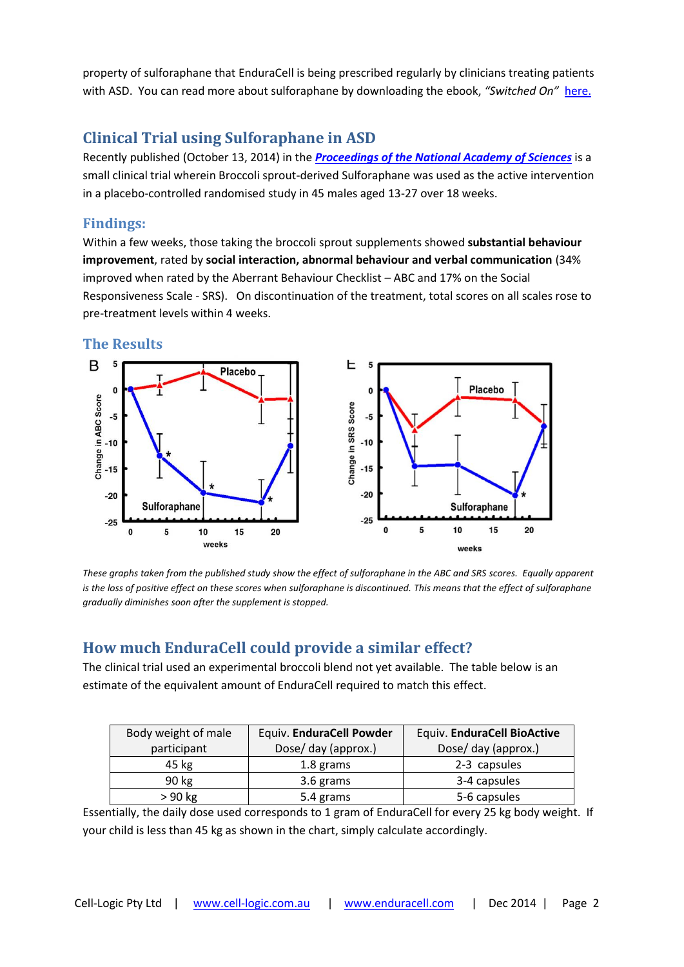property of sulforaphane that EnduraCell is being prescribed regularly by clinicians treating patients with ASD. You can read more about sulforaphane by downloading the ebook, *"Switched On"* [here.](http://www.amazon.com.au/Switched-On-Harnessing-Nutrigenomics-Optimise-ebook/dp/B0045OUOQC)

# **Clinical Trial using Sulforaphane in ASD**

Recently published (October 13, 2014) in the *[Proceedings of the National Academy of Sciences](http://www.pnas.org/content/early/2014/10/08/1416940111.full.pdf+html?with-ds=yes)* is a small clinical trial wherein Broccoli sprout-derived Sulforaphane was used as the active intervention in a placebo-controlled randomised study in 45 males aged 13-27 over 18 weeks.

#### **Findings:**

Within a few weeks, those taking the broccoli sprout supplements showed **substantial behaviour improvement**, rated by **social interaction, abnormal behaviour and verbal communication** (34% improved when rated by the Aberrant Behaviour Checklist – ABC and 17% on the Social Responsiveness Scale - SRS). On discontinuation of the treatment, total scores on all scales rose to pre-treatment levels within 4 weeks.

#### **The Results**



*These graphs taken from the published study show the effect of sulforaphane in the ABC and SRS scores. Equally apparent is the loss of positive effect on these scores when sulforaphane is discontinued. This means that the effect of sulforaphane gradually diminishes soon after the supplement is stopped.*

# **How much EnduraCell could provide a similar effect?**

The clinical trial used an experimental broccoli blend not yet available. The table below is an estimate of the equivalent amount of EnduraCell required to match this effect.

| Body weight of male | Equiv. EnduraCell Powder | Equiv. EnduraCell BioActive |
|---------------------|--------------------------|-----------------------------|
| participant         | Dose/ day (approx.)      | Dose/ day (approx.)         |
| 45 kg               | 1.8 grams                | 2-3 capsules                |
| 90 kg               | 3.6 grams                | 3-4 capsules                |
| $>90$ kg            | 5.4 grams                | 5-6 capsules                |

Essentially, the daily dose used corresponds to 1 gram of EnduraCell for every 25 kg body weight. If your child is less than 45 kg as shown in the chart, simply calculate accordingly.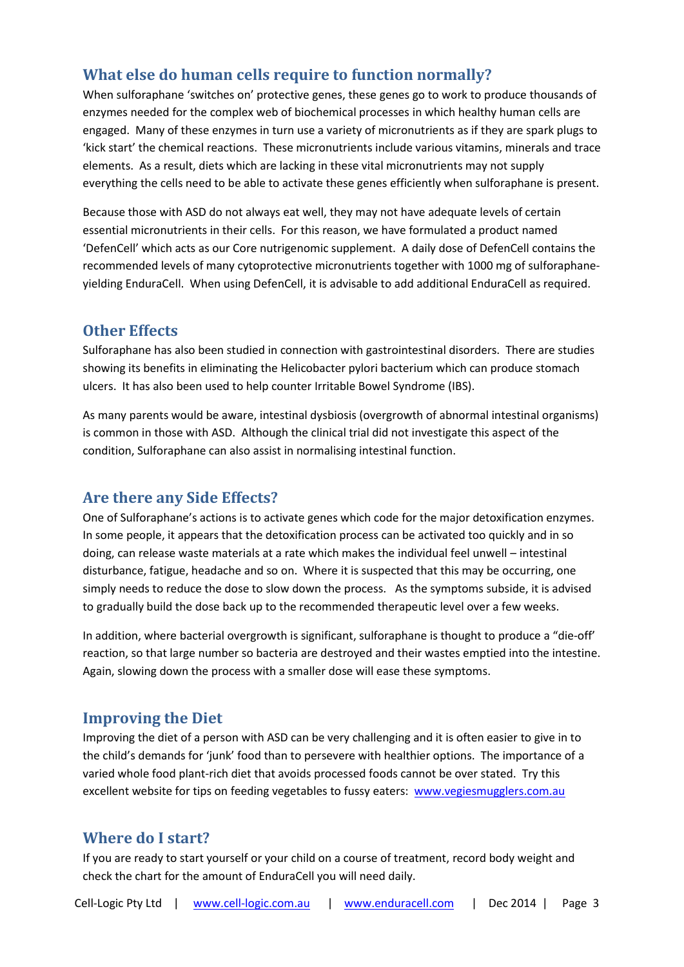## **What else do human cells require to function normally?**

When sulforaphane 'switches on' protective genes, these genes go to work to produce thousands of enzymes needed for the complex web of biochemical processes in which healthy human cells are engaged. Many of these enzymes in turn use a variety of micronutrients as if they are spark plugs to 'kick start' the chemical reactions. These micronutrients include various vitamins, minerals and trace elements. As a result, diets which are lacking in these vital micronutrients may not supply everything the cells need to be able to activate these genes efficiently when sulforaphane is present.

Because those with ASD do not always eat well, they may not have adequate levels of certain essential micronutrients in their cells. For this reason, we have formulated a product named 'DefenCell' which acts as our Core nutrigenomic supplement. A daily dose of DefenCell contains the recommended levels of many cytoprotective micronutrients together with 1000 mg of sulforaphaneyielding EnduraCell. When using DefenCell, it is advisable to add additional EnduraCell as required.

## **Other Effects**

Sulforaphane has also been studied in connection with gastrointestinal disorders. There are studies showing its benefits in eliminating the Helicobacter pylori bacterium which can produce stomach ulcers. It has also been used to help counter Irritable Bowel Syndrome (IBS).

As many parents would be aware, intestinal dysbiosis (overgrowth of abnormal intestinal organisms) is common in those with ASD. Although the clinical trial did not investigate this aspect of the condition, Sulforaphane can also assist in normalising intestinal function.

## **Are there any Side Effects?**

One of Sulforaphane's actions is to activate genes which code for the major detoxification enzymes. In some people, it appears that the detoxification process can be activated too quickly and in so doing, can release waste materials at a rate which makes the individual feel unwell – intestinal disturbance, fatigue, headache and so on. Where it is suspected that this may be occurring, one simply needs to reduce the dose to slow down the process. As the symptoms subside, it is advised to gradually build the dose back up to the recommended therapeutic level over a few weeks.

In addition, where bacterial overgrowth is significant, sulforaphane is thought to produce a "die-off' reaction, so that large number so bacteria are destroyed and their wastes emptied into the intestine. Again, slowing down the process with a smaller dose will ease these symptoms.

## **Improving the Diet**

Improving the diet of a person with ASD can be very challenging and it is often easier to give in to the child's demands for 'junk' food than to persevere with healthier options. The importance of a varied whole food plant-rich diet that avoids processed foods cannot be over stated. Try this excellent website for tips on feeding vegetables to fussy eaters: www.vegiesmugglers.com.au

## **Where do I start?**

If you are ready to start yourself or your child on a course of treatment, record body weight and check the chart for the amount of EnduraCell you will need daily.